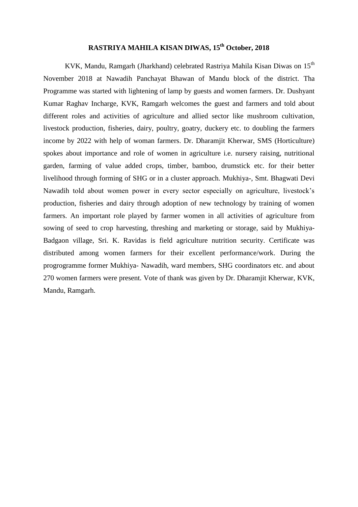## **RASTRIYA MAHILA KISAN DIWAS, 15th October, 2018**

KVK, Mandu, Ramgarh (Jharkhand) celebrated Rastriya Mahila Kisan Diwas on 15<sup>th</sup> November 2018 at Nawadih Panchayat Bhawan of Mandu block of the district. Tha Programme was started with lightening of lamp by guests and women farmers. Dr. Dushyant Kumar Raghav Incharge, KVK, Ramgarh welcomes the guest and farmers and told about different roles and activities of agriculture and allied sector like mushroom cultivation, livestock production, fisheries, dairy, poultry, goatry, duckery etc. to doubling the farmers income by 2022 with help of woman farmers. Dr. Dharamjit Kherwar, SMS (Horticulture) spokes about importance and role of women in agriculture i.e. nursery raising, nutritional garden, farming of value added crops, timber, bamboo, drumstick etc. for their better livelihood through forming of SHG or in a cluster approach. Mukhiya-, Smt. Bhagwati Devi Nawadih told about women power in every sector especially on agriculture, livestock's production, fisheries and dairy through adoption of new technology by training of women farmers. An important role played by farmer women in all activities of agriculture from sowing of seed to crop harvesting, threshing and marketing or storage, said by Mukhiya-Badgaon village, Sri. K. Ravidas is field agriculture nutrition security. Certificate was distributed among women farmers for their excellent performance/work. During the progrogramme former Mukhiya- Nawadih, ward members, SHG coordinators etc. and about 270 women farmers were present. Vote of thank was given by Dr. Dharamjit Kherwar, KVK, Mandu, Ramgarh.